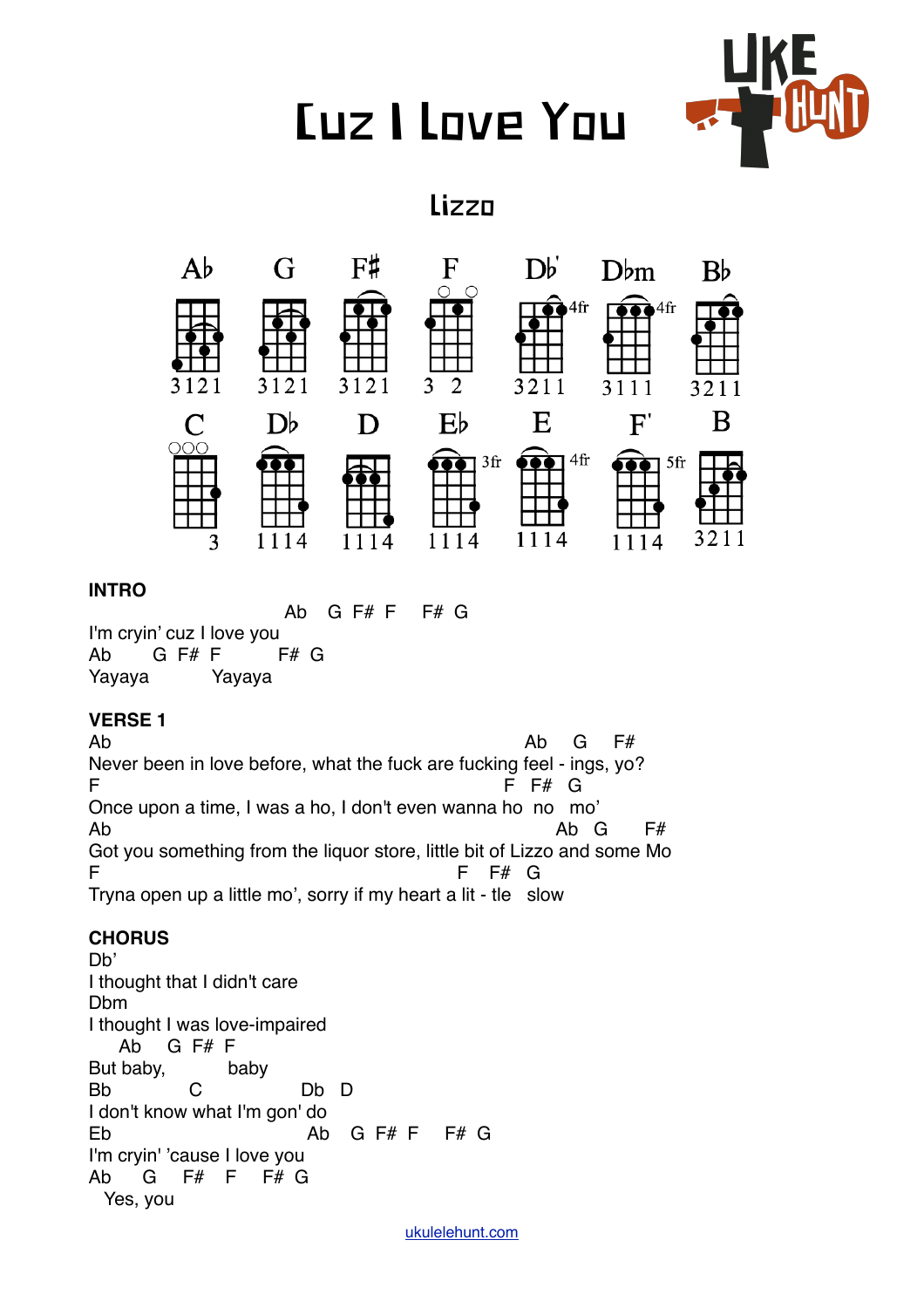# Cuz I Love You



# Lizzo



#### **INTRO**

Ab  $G$   $F# F$   $F# G$ I'm cryin' cuz I love you Ab  $G$   $F# F$   $F# G$ YayayaYayaya

#### **VERSE 1**

Ab Ab G F# Never been in love before, what the fuck are fucking feel - ings, yo? F F# G Once upon a time, I was a ho, I don't even wanna ho no mo' Ab G F# Got you something from the liquor store, little bit of Lizzo and some Mo F F# G Tryna open up a little mo', sorry if my heart a lit - tle slow

### **CHORUS**

Db' I thought that I didn't care Dbm I thought I was love-impaired Ab G F# F But baby, baby Bb C Db D I don't know what I'm gon' do Eb Ab G F# F F# G I'm cryin' 'cause I love you Ab G F# F F# G Yes, you

[ukulelehunt.com](http://ukulelehunt.com)